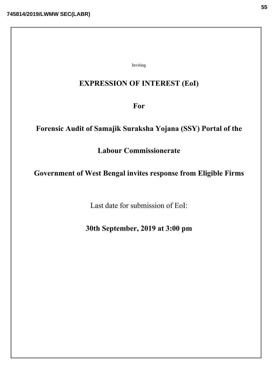Inviting

## EXPRESSION OF INTEREST (EoI)

For

# Forensic Audit of Samajik Suraksha Yojana (SSY) Portal of the

Labour Commissionerate

## Government of West Bengal invites response from Eligible Firms

Last date for submission of EoI:

30th September, 2019 at 3:00 pm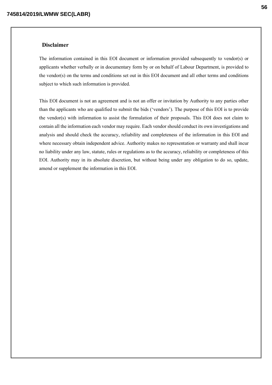### Disclaimer

The information contained in this EOI document or information provided subsequently to vendor(s) or applicants whether verbally or in documentary form by or on behalf of Labour Department, is provided to the vendor(s) on the terms and conditions set out in this EOI document and all other terms and conditions subject to which such information is provided.

This EOI document is not an agreement and is not an offer or invitation by Authority to any parties other than the applicants who are qualified to submit the bids ('vendors'). The purpose of this EOI is to provide the vendor(s) with information to assist the formulation of their proposals. This EOI does not claim to contain all the information each vendor may require. Each vendor should conduct its own investigations and analysis and should check the accuracy, reliability and completeness of the information in this EOI and where necessary obtain independent advice. Authority makes no representation or warranty and shall incur no liability under any law, statute, rules or regulations as to the accuracy, reliability or completeness of this EOI. Authority may in its absolute discretion, but without being under any obligation to do so, update, amend or supplement the information in this EOI.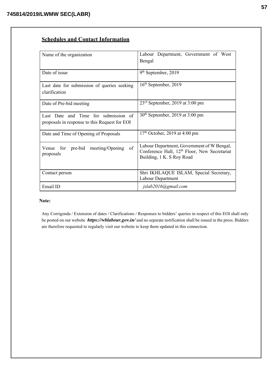## Schedules and Contact Information

| Name of the organization                      | Labour Department, Government of West                                                 |
|-----------------------------------------------|---------------------------------------------------------------------------------------|
|                                               | Bengal                                                                                |
| Date of issue                                 |                                                                                       |
|                                               | 9 <sup>th</sup> September, 2019                                                       |
| Last date for submission of queries seeking   | $16th$ September, 2019                                                                |
| clarification                                 |                                                                                       |
| Date of Pre-bid meeting                       | $23rd$ September, 2019 at 3:00 pm                                                     |
| Last Date and Time for submission of          | $30th$ September, 2019 at 3:00 pm                                                     |
| proposals in response to this Request for EOI |                                                                                       |
| Date and Time of Opening of Proposals         | $17th$ October, 2019 at 4:00 pm                                                       |
| of<br>Venue for pre-bid<br>meeting/Opening    | Labour Department, Government of W Bengal,                                            |
| proposals                                     | Conference Hall, 12 <sup>th</sup> Floor, New Secretariat<br>Building, 1 K. S Roy Road |
|                                               |                                                                                       |
| Contact person                                | Shri IKHLAQUE ISLAM, Special Secretary,                                               |
|                                               | Labour Department                                                                     |
| Email ID                                      | jslab2016@gmail.com                                                                   |

## Note:

Any Corrigenda / Extension of dates / Clarifications / Responses to bidders' queries in respect of this EOI shall only be posted on our website *https://wblabour.gov.in/* and no separate notification shall be issued in the press. Bidders are therefore requested to regularly visit our website to keep them updated in this connection.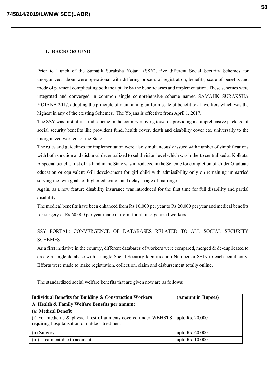#### 1. BACKGROUND

Prior to launch of the Samajik Suraksha Yojana (SSY), five different Social Security Schemes for unorganized labour were operational with differing process of registration, benefits, scale of benefits and mode of payment complicating both the uptake by the beneficiaries and implementation. These schemes were integrated and converged in common single comprehensive scheme named SAMAJIK SURAKSHA YOJANA 2017, adopting the principle of maintaining uniform scale of benefit to all workers which was the highest in any of the existing Schemes. The Yojana is effective from April 1, 2017.

The SSY was first of its kind scheme in the country moving towards providing a comprehensive package of social security benefits like provident fund, health cover, death and disability cover etc. universally to the unorganized workers of the State.

The rules and guidelines for implementation were also simultaneously issued with number of simplifications with both sanction and disbursal decentralized to subdivision level which was hitherto centralized at Kolkata. A special benefit, first of its kind in the State was introduced in the Scheme for completion of Under Graduate education or equivalent skill development for girl child with admissibility only on remaining unmarried serving the twin goals of higher education and delay in age of marriage.

Again, as a new feature disability insurance was introduced for the first time for full disability and partial disability.

The medical benefits have been enhanced from Rs.10,000 per year to Rs.20,000 per year and medical benefits for surgery at Rs.60,000 per year made uniform for all unorganized workers.

## SSY PORTAL: CONVERGENCE OF DATABASES RELATED TO ALL SOCIAL SECURITY **SCHEMES**

As a first initiative in the country, different databases of workers were compared, merged & de-duplicated to create a single database with a single Social Security Identification Number or SSIN to each beneficiary. Efforts were made to make registration, collection, claim and disbursement totally online.

The standardized social welfare benefits that are given now are as follows:

| <b>Individual Benefits for Building &amp; Construction Workers</b>                                                      | (Amount in Rupees) |
|-------------------------------------------------------------------------------------------------------------------------|--------------------|
| A. Health & Family Welfare Benefits per annum:                                                                          |                    |
| (a) Medical Benefit                                                                                                     |                    |
| (i) For medicine $\&$ physical test of ailments covered under WBHS'08<br>requiring hospitalisation or outdoor treatment | upto Rs. 20,000    |
| (ii) Surgery                                                                                                            | upto Rs. $60,000$  |
| (iii) Treatment due to accident                                                                                         | upto Rs. 10,000    |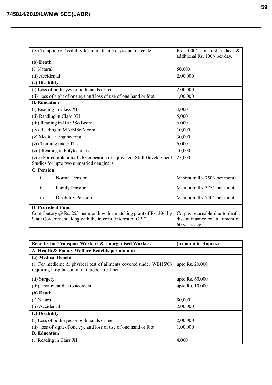| (iv) Temporary Disability for more than 5 days due to accident                                                                         | Rs. 1000/- for first 5 days $\&$                                                    |
|----------------------------------------------------------------------------------------------------------------------------------------|-------------------------------------------------------------------------------------|
|                                                                                                                                        | additional Rs. 100/- per day.                                                       |
| (b) Death                                                                                                                              |                                                                                     |
| (i) Natural                                                                                                                            | 50,000                                                                              |
| (ii) Accidental                                                                                                                        | 2,00,000                                                                            |
| (c) Disability                                                                                                                         |                                                                                     |
| (i) Loss of both eyes or both hands or feet                                                                                            | 2,00,000                                                                            |
| (ii) loss of sight of one eye and loss of use of one hand or foot                                                                      | 1,00,000                                                                            |
| <b>B.</b> Education                                                                                                                    |                                                                                     |
| (i) Reading in Class XI                                                                                                                | 4,000                                                                               |
| (ii) Reading in Class XII                                                                                                              | 5,000                                                                               |
| (iii) Reading in BA/BSc/Bcom                                                                                                           | 6,000                                                                               |
| (iv) Reading in MA/MSc/Mcom                                                                                                            | 10,000                                                                              |
| (v) Medical/Engineering                                                                                                                | 30,000                                                                              |
| (vi) Training under ITIs                                                                                                               | 6,000                                                                               |
| (vii) Reading at Polytechnics                                                                                                          | 10,000                                                                              |
| (viii) For completion of UG education or equivalent Skill Development<br>Studies for upto two unmarried daughters                      | 25,000                                                                              |
| <b>C.</b> Pension                                                                                                                      |                                                                                     |
| <b>Normal Pension</b><br>i.                                                                                                            | Minimum Rs. 750/- per month                                                         |
| ii.<br><b>Family Pension</b>                                                                                                           | Minimum Rs. 375/- per month                                                         |
| Disability Pension<br>iii.                                                                                                             | Minimum Rs. 750/- per month                                                         |
| <b>D. Provident Fund</b>                                                                                                               |                                                                                     |
| Contributory $@$ Rs. 25/- per month with a matching grant of Rs. 30/- by<br>State Government along with the interest (interest of GPF) | Corpus returnable due to death,<br>discontinuance or attainment of<br>60 years age. |

| Benefits for Transport Workers & Unorganised Workers                                                                    | (Amount in Rupees) |
|-------------------------------------------------------------------------------------------------------------------------|--------------------|
| A. Health & Family Welfare Benefits per annum:                                                                          |                    |
| (a) Medical Benefit                                                                                                     |                    |
| (i) For medicine $\&$ physical test of ailments covered under WBHS'08<br>requiring hospitalisation or outdoor treatment | upto Rs. 20,000    |
| (ii) Surgery                                                                                                            | upto Rs. 60,000    |
| (iii) Treatment due to accident                                                                                         | upto Rs. 10,000    |
| (b) Death                                                                                                               |                    |
| (i) Natural                                                                                                             | 50,000             |
| (ii) Accidental                                                                                                         | 2,00,000           |
| (c) Disability                                                                                                          |                    |
| (i) Loss of both eyes or both hands or feet                                                                             | 2,00,000           |
| (ii) loss of sight of one eye and loss of use of one hand or foot                                                       | 1,00,000           |
| <b>B.</b> Education                                                                                                     |                    |
| (i) Reading in Class XI                                                                                                 | 4,000              |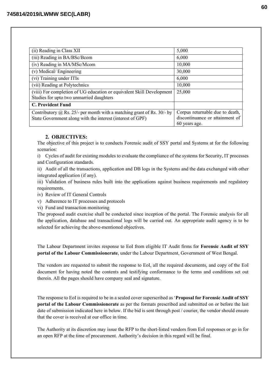| (ii) Reading in Class XII                                                                                         | 5,000                           |
|-------------------------------------------------------------------------------------------------------------------|---------------------------------|
| (iii) Reading in BA/BSc/Bcom                                                                                      | 6,000                           |
| (iv) Reading in MA/MSc/Mcom                                                                                       | 10,000                          |
| (v) Medical/Engineering                                                                                           | 30,000                          |
| (vi) Training under ITIs                                                                                          | 6,000                           |
| (vii) Reading at Polytechnics                                                                                     | 10,000                          |
| (viii) For completion of UG education or equivalent Skill Development<br>Studies for upto two unmarried daughters | 25,000                          |
| <b>C. Provident Fund</b>                                                                                          |                                 |
| Contributory $\omega$ Rs. 25/- per month with a matching grant of Rs. 30/- by                                     | Corpus returnable due to death, |
| State Government along with the interest (interest of GPF)                                                        | discontinuance or attainment of |
|                                                                                                                   | 60 years age.                   |

## 2. OBJECTIVES:

The objective of this project is to conducts Forensic audit of SSY portal and Systems at for the following scenarios:

i) Cycles of audit for existing modules to evaluate the compliance of the systems for Security, IT processes and Configuration standards.

ii) Audit of all the transactions, application and DB logs in the Systems and the data exchanged with other integrated application (if any).

iii) Validation of business rules built into the applications against business requirements and regulatory requirements.

iv) Review of IT General Controls

v) Adherence to IT processes and protocols

vi) Fund and transaction monitoring

The proposed audit exercise shall be conducted since inception of the portal. The Forensic analysis for all the application, database and transactional logs will be carried out. An appropriate audit agency is to be selected for achieving the above-mentioned objectives.

The Labour Department invites response to EoI from eligible IT Audit firms for Forensic Audit of SSY portal of the Labour Commissionerate, under the Labour Department, Government of West Bengal.

The vendors are requested to submit the response to EoI, all the required documents, and copy of the EoI document for having noted the contents and testifying conformance to the terms and conditions set out therein. All the pages should have company seal and signature.

The response to EoI is required to be in a sealed cover superscribed as 'Proposal for Forensic Audit of SSY portal of the Labour Commissionerate as per the formats prescribed and submitted on or before the last date of submission indicated here in below. If the bid is sent through post / courier, the vendor should ensure that the cover is received at our office in time.

The Authority at its discretion may issue the RFP to the short-listed vendors from EoI responses or go in for an open RFP at the time of procurement. Authority's decision in this regard will be final.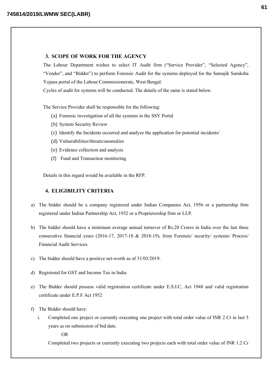### 3. SCOPE OF WORK FOR THE AGENCY

The Labour Department wishes to select IT Audit firm ("Service Provider", "Selected Agency", "Vendor", and "Bidder") to perform Forensic Audit for the systems deployed for the Samajik Suraksha Yojana portal of the Labour Commissionerate, West Bengal.

Cycles of audit for systems will be conducted. The details of the same is stated below.

The Service Provider shall be responsible for the following:

- (a) Forensic investigation of all the systems in the SSY Portal
- (b) System Security Review
- (c) Identify the Incidents occurred and analyze the application for potential incidents/
- (d) Vulnerabilities/threats/anomalies
- (e) Evidence collection and analysis
- (f) Fund and Transaction monitoring

Details in this regard would be available in the RFP.

## 4. ELIGIBILITY CRITERIA

- a) The bidder should be a company registered under Indian Companies Act, 1956 or a partnership firm registered under Indian Partnership Act, 1932 or a Proprietorship firm or LLP.
- b) The bidder should have a minimum average annual turnover of Rs.20 Crores in India over the last three consecutive financial years (2016-17, 2017-18 & 2018-19), from Forensic/ security/ systems/ Process/ Financial Audit Services.
- c) The bidder should have a positive net-worth as of 31/03/2019.
- d) Registered for GST and Income Tax in India
- e) The Bidder should possess valid registration certificate under E.S.I.C, Act 1948 and valid registration certificate under E.P.F Act 1952
- f) The Bidder should have:
	- i. Completed one project or currently executing one project with total order value of INR 2 Cr in last 5 years as on submission of bid date.

OR

Completed two projects or currently executing two projects each with total order value of INR 1.2 Cr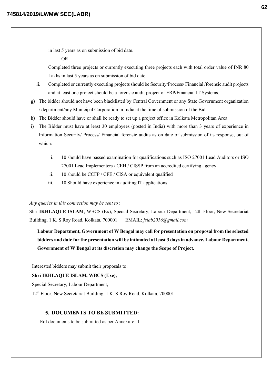in last 5 years as on submission of bid date.

#### OR

Completed three projects or currently executing three projects each with total order value of INR 80 Lakhs in last 5 years as on submission of bid date.

- ii. Completed or currently executing projects should be Security/Process/ Financial /forensic audit projects and at least one project should be a forensic audit project of ERP/Financial IT Systems.
- g) The bidder should not have been blacklisted by Central Government or any State Government organization / department/any Municipal Corporation in India at the time of submission of the Bid
- h) The Bidder should have or shall be ready to set up a project office in Kolkata Metropolitan Area
- i) The Bidder must have at least 30 employees (posted in India) with more than 3 years of experience in Information Security/ Process/ Financial forensic audits as on date of submission of its response, out of which:
	- i. 10 should have passed examination for qualifications such as ISO 27001 Lead Auditors or ISO 27001 Lead Implementers / CEH / CISSP from an accredited certifying agency.
	- ii. 10 should be CCFP / CFE / CISA or equivalent qualified
	- iii. 10 Should have experience in auditing IT applications

#### *Any queries in this connection may be sent to* :

Shri IKHLAQUE ISLAM, WBCS (Ex), Special Secretary, Labour Department, 12th Floor, New Secretariat Building, 1 K. S Roy Road, Kolkata, 700001 EMAIL: *jslab2016@gmail.com*

Labour Department, Government of W Bengal may call for presentation on proposal from the selected bidders and date for the presentation will be intimated at least 3 days in advance. Labour Department, Government of W Bengal at its discretion may change the Scope of Project.

Interested bidders may submit their proposals to:

#### Shri IKHLAQUE ISLAM, WBCS (Exe),

Special Secretary, Labour Department,

12th Floor, New Secretariat Building, 1 K. S Roy Road, Kolkata, 700001

## 5. DOCUMENTS TO BE SUBMITTED:

EoI documents to be submitted as per Annexure –I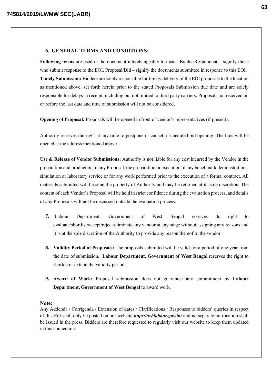#### 6. GENERAL TERMS AND CONDITIONS:

Following terms are used in the document interchangeably to mean: Bidder/Respondent – signify those who submit response to the EOI. Proposal/Bid – signify the documents submitted in response to this EOI. Timely Submission: Bidders are solely responsible for timely delivery of the EOI proposals to the location as mentioned above, set forth herein prior to the stated Proposals Submission due date and are solely responsible for delays in receipt, including but not limited to third party carriers. Proposals not received on or before the last date and time of submission will not be considered.

Opening of Proposal: Proposals will be opened in front of vendor's representatives (if present).

Authority reserves the right at any time to postpone or cancel a scheduled bid opening. The bids will be opened at the address mentioned above.

Use & Release of Vendor Submissions: Authority is not liable for any cost incurred by the Vendor in the preparation and production of any Proposal, the preparation or execution of any benchmark demonstrations, simulation or laboratory service or for any work performed prior to the execution of a formal contract. All materials submitted will become the property of Authority and may be returned at its sole discretion. The content of each Vendor's Proposal will be held in strict confidence during the evaluation process, and details of any Proposals will not be discussed outside the evaluation process.

- 7. Labour Department, Government of West Bengal reserves its right to evaluate/shortlist/accept/reject/eliminate any vendor at any stage without assigning any reasons and it is at the sole discretion of the Authority to provide any reason thereof to the vendor.
- 8. Validity Period of Proposals: The proposals submitted will be valid for a period of one year from the date of submission. Labour Department, Government of West Bengal reserves the right to shorten or extend the validity period.
- 9. Award of Work: Proposal submission does not guarantee any commitment by Labour Department, Government of West Bengal to award work.

#### Note:

Any Addenda / Corrigenda / Extension of dates / Clarifications / Responses to bidders' queries in respect of this EoI shall only be posted on our website *https://wblabour.gov.in/* and no separate notification shall be issued in the press. Bidders are therefore requested to regularly visit our website to keep them updated in this connection.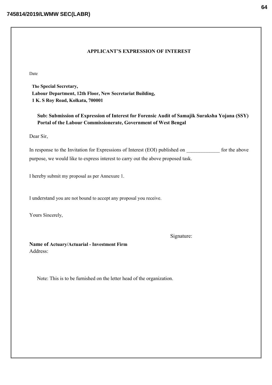### APPLICANT'S EXPRESSION OF INTEREST

Date

The Special Secretary, Labour Department, 12th Floor, New Secretariat Building, 1 K. S Roy Road, Kolkata, 700001

Sub: Submission of Expression of Interest for Forensic Audit of Samajik Suraksha Yojana (SSY) Portal of the Labour Commissionerate, Government of West Bengal

Dear Sir,

In response to the Invitation for Expressions of Interest (EOI) published on for the above purpose, we would like to express interest to carry out the above proposed task.

I hereby submit my proposal as per Annexure 1.

I understand you are not bound to accept any proposal you receive.

Yours Sincerely,

Signature:

Name of Actuary/Actuarial - Investment Firm Address:

Note: This is to be furnished on the letter head of the organization.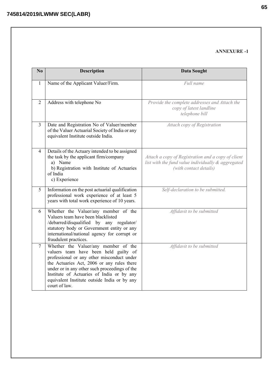## ANNEXURE -1

| No             | <b>Description</b>                                                                                                                                                                                                                                                                                                                       | <b>Data Sought</b>                                                                                                                 |
|----------------|------------------------------------------------------------------------------------------------------------------------------------------------------------------------------------------------------------------------------------------------------------------------------------------------------------------------------------------|------------------------------------------------------------------------------------------------------------------------------------|
| $\mathbf{1}$   | Name of the Applicant Valuer/Firm.                                                                                                                                                                                                                                                                                                       | Full name                                                                                                                          |
| 2              | Address with telephone No                                                                                                                                                                                                                                                                                                                | Provide the complete addresses and Attach the<br>copy of latest landline<br>telephone bill                                         |
| 3              | Date and Registration No of Valuer/member<br>of the Valuer Actuarial Society of India or any<br>equivalent Institute outside India.                                                                                                                                                                                                      | Attach copy of Registration                                                                                                        |
| 4              | Details of the Actuary intended to be assigned<br>the task by the applicant firm/company<br>a) Name<br>b) Registration with Institute of Actuaries<br>of India<br>c) Experience                                                                                                                                                          | Attach a copy of Registration and a copy of client<br>list with the fund value individually & aggregated<br>(with contact details) |
| 5              | Information on the post actuarial qualification<br>professional work experience of at least 5<br>years with total work experience of 10 years.                                                                                                                                                                                           | Self-declaration to be submitted.                                                                                                  |
| 6              | Whether the Valuer/any member of the<br>Valuers team have been blacklisted<br>/debarred/disqualified by any regulator/<br>statutory body or Government entity or any<br>international/national agency for corrupt or<br>fraudulent practices.                                                                                            | Affidavit to be submitted                                                                                                          |
| $\overline{7}$ | Whether the Valuer/any member of the<br>valuers team have been held guilty of<br>professional or any other misconduct under<br>the Actuaries Act, 2006 or any rules there<br>under or in any other such proceedings of the<br>Institute of Actuaries of India or by any<br>equivalent Institute outside India or by any<br>court of law. | Affidavit to be submitted                                                                                                          |